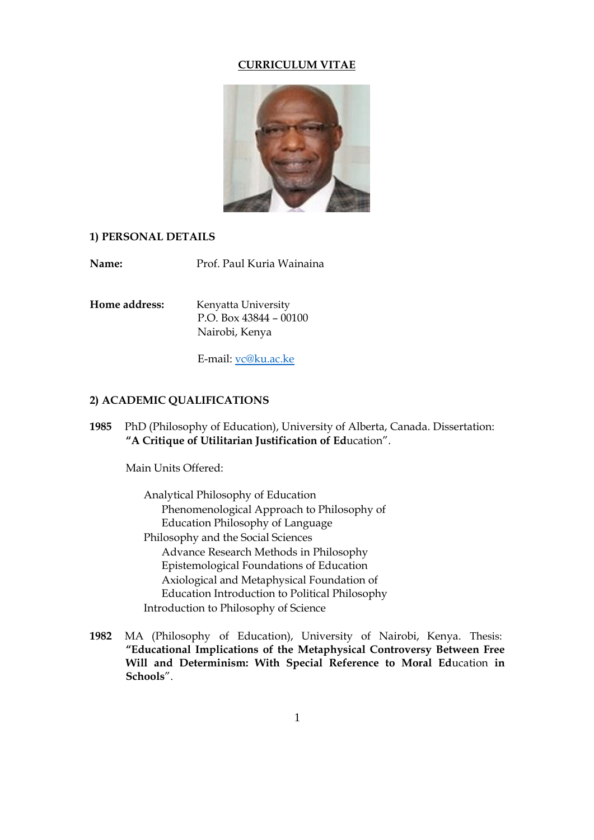#### **CURRICULUM VITAE**



### **1) PERSONAL DETAILS**

**Name:** Prof. Paul Kuria Wainaina

**Home address:** Kenyatta University P.O. Box 43844 – 00100 Nairobi, Kenya

E-mail: [vc@ku.ac.ke](mailto:vc@ku.ac.ke)

### **2) ACADEMIC QUALIFICATIONS**

**1985** PhD (Philosophy of Education), University of Alberta, Canada. Dissertation: **"A Critique of Utilitarian Justification of Ed**ucation".

Main Units Offered:

Analytical Philosophy of Education Phenomenological Approach to Philosophy of Education Philosophy of Language Philosophy and the Social Sciences Advance Research Methods in Philosophy Epistemological Foundations of Education Axiological and Metaphysical Foundation of Education Introduction to Political Philosophy Introduction to Philosophy of Science

**1982** MA (Philosophy of Education), University of Nairobi, Kenya. Thesis: **"Educational Implications of the Metaphysical Controversy Between Free Will and Determinism: With Special Reference to Moral Ed**ucation **in Schools**".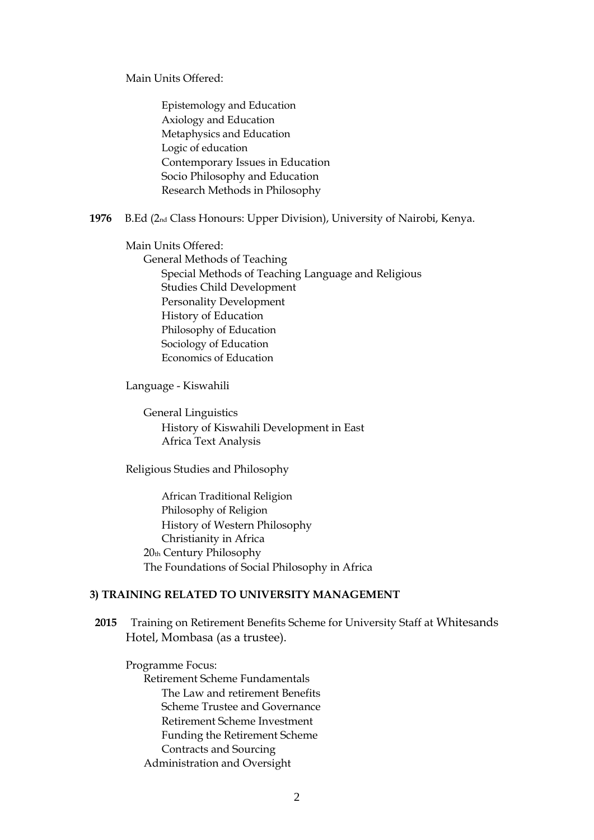Main Units Offered:

Epistemology and Education Axiology and Education Metaphysics and Education Logic of education Contemporary Issues in Education Socio Philosophy and Education Research Methods in Philosophy

**1976** B.Ed (2nd Class Honours: Upper Division), University of Nairobi, Kenya.

Main Units Offered:

General Methods of Teaching Special Methods of Teaching Language and Religious Studies Child Development Personality Development History of Education Philosophy of Education Sociology of Education Economics of Education

Language - Kiswahili

General Linguistics History of Kiswahili Development in East Africa Text Analysis

Religious Studies and Philosophy

African Traditional Religion Philosophy of Religion History of Western Philosophy Christianity in Africa 20th Century Philosophy The Foundations of Social Philosophy in Africa

### **3) TRAINING RELATED TO UNIVERSITY MANAGEMENT**

**2015** Training on Retirement Benefits Scheme for University Staff at Whitesands Hotel, Mombasa (as a trustee).

Programme Focus:

Retirement Scheme Fundamentals The Law and retirement Benefits Scheme Trustee and Governance Retirement Scheme Investment Funding the Retirement Scheme Contracts and Sourcing Administration and Oversight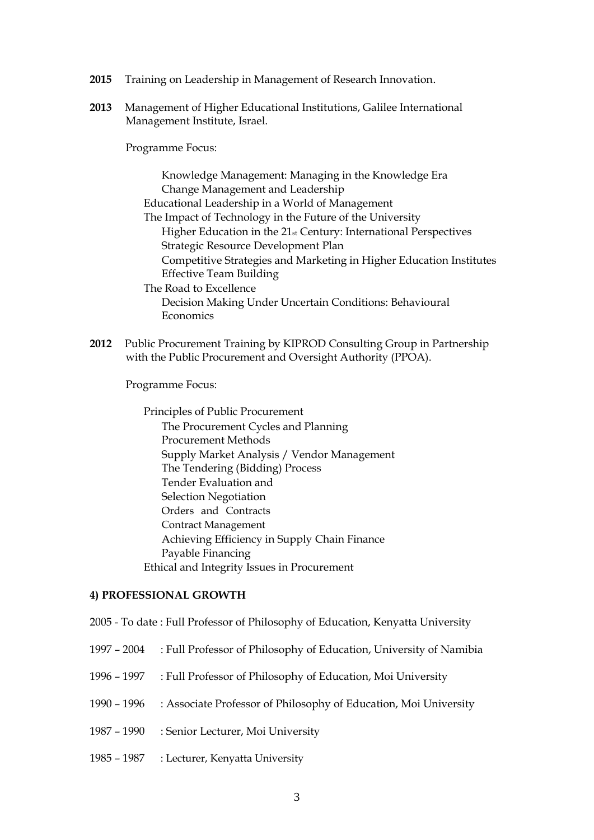- **2015** Training on Leadership in Management of Research Innovation.
- **2013** Management of Higher Educational Institutions, Galilee International Management Institute, Israel.

Programme Focus:

Knowledge Management: Managing in the Knowledge Era Change Management and Leadership Educational Leadership in a World of Management The Impact of Technology in the Future of the University Higher Education in the 21st Century: International Perspectives Strategic Resource Development Plan Competitive Strategies and Marketing in Higher Education Institutes Effective Team Building The Road to Excellence Decision Making Under Uncertain Conditions: Behavioural **Economics** 

**2012** Public Procurement Training by KIPROD Consulting Group in Partnership with the Public Procurement and Oversight Authority (PPOA).

Programme Focus:

Principles of Public Procurement The Procurement Cycles and Planning Procurement Methods Supply Market Analysis / Vendor Management The Tendering (Bidding) Process Tender Evaluation and Selection Negotiation Orders and Contracts Contract Management Achieving Efficiency in Supply Chain Finance Payable Financing Ethical and Integrity Issues in Procurement

### **4) PROFESSIONAL GROWTH**

- 2005 To date : Full Professor of Philosophy of Education, Kenyatta University
- 1997 2004 : Full Professor of Philosophy of Education, University of Namibia
- 1996 1997 : Full Professor of Philosophy of Education, Moi University
- 1990 1996 : Associate Professor of Philosophy of Education, Moi University
- 1987 1990 : Senior Lecturer, Moi University
- 1985 1987 : Lecturer, Kenyatta University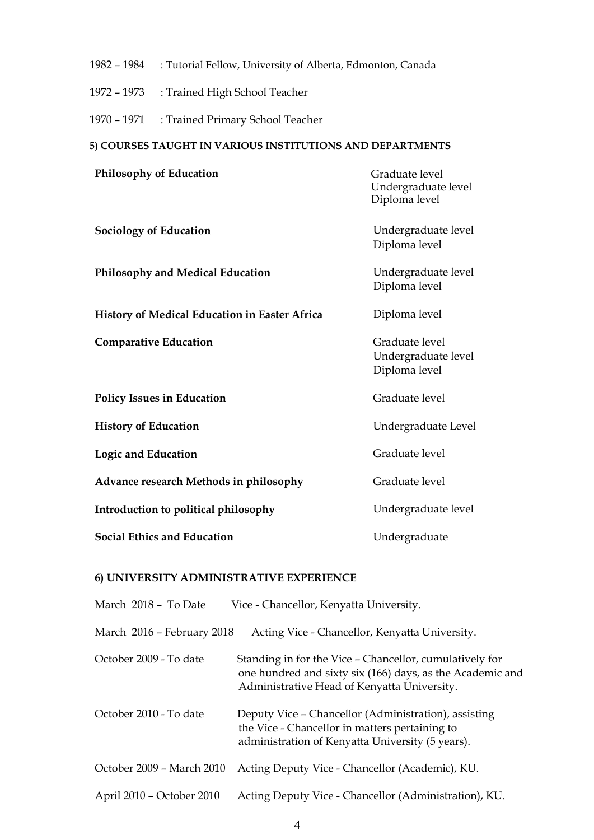- 1982 1984 : Tutorial Fellow, University of Alberta, Edmonton, Canada
- 1972 1973 : Trained High School Teacher
- 1970 1971 : Trained Primary School Teacher

# **5) COURSES TAUGHT IN VARIOUS INSTITUTIONS AND DEPARTMENTS**

| Philosophy of Education                       | Graduate level<br>Undergraduate level<br>Diploma level |
|-----------------------------------------------|--------------------------------------------------------|
| <b>Sociology of Education</b>                 | Undergraduate level<br>Diploma level                   |
| <b>Philosophy and Medical Education</b>       | Undergraduate level<br>Diploma level                   |
| History of Medical Education in Easter Africa | Diploma level                                          |
| <b>Comparative Education</b>                  | Graduate level<br>Undergraduate level<br>Diploma level |
| <b>Policy Issues in Education</b>             | Graduate level                                         |
| <b>History of Education</b>                   | Undergraduate Level                                    |
| <b>Logic and Education</b>                    | Graduate level                                         |
| Advance research Methods in philosophy        | Graduate level                                         |
| Introduction to political philosophy          | Undergraduate level                                    |
| <b>Social Ethics and Education</b>            | Undergraduate                                          |

### **6) UNIVERSITY ADMINISTRATIVE EXPERIENCE**

| March 2018 - To Date       | Vice - Chancellor, Kenyatta University.                                                                                                                             |
|----------------------------|---------------------------------------------------------------------------------------------------------------------------------------------------------------------|
| March 2016 - February 2018 | Acting Vice - Chancellor, Kenyatta University.                                                                                                                      |
| October 2009 - To date     | Standing in for the Vice - Chancellor, cumulatively for<br>one hundred and sixty six (166) days, as the Academic and<br>Administrative Head of Kenyatta University. |
| October 2010 - To date     | Deputy Vice – Chancellor (Administration), assisting<br>the Vice - Chancellor in matters pertaining to<br>administration of Kenyatta University (5 years).          |
| October 2009 - March 2010  | Acting Deputy Vice - Chancellor (Academic), KU.                                                                                                                     |
| April 2010 – October 2010  | Acting Deputy Vice - Chancellor (Administration), KU.                                                                                                               |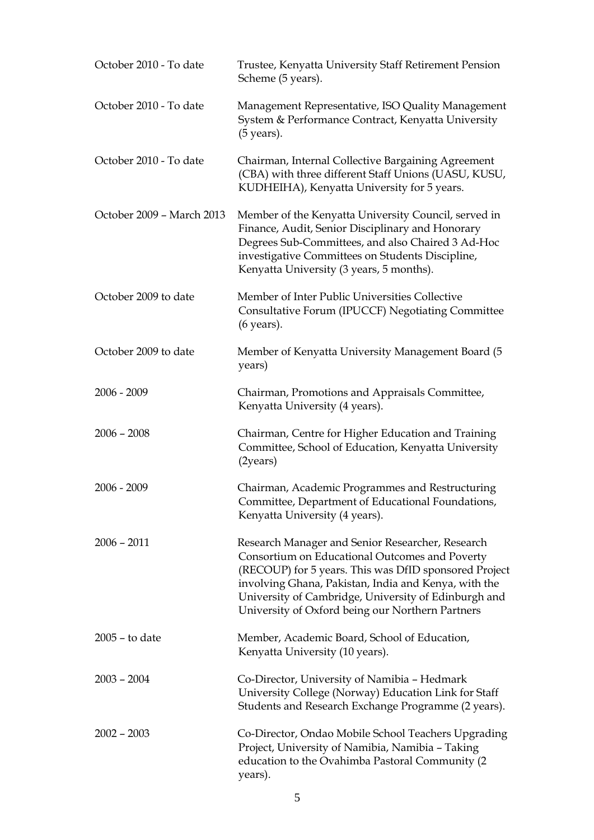| October 2010 - To date    | Trustee, Kenyatta University Staff Retirement Pension<br>Scheme (5 years).                                                                                                                                                                                                                                                      |
|---------------------------|---------------------------------------------------------------------------------------------------------------------------------------------------------------------------------------------------------------------------------------------------------------------------------------------------------------------------------|
| October 2010 - To date    | Management Representative, ISO Quality Management<br>System & Performance Contract, Kenyatta University<br>$(5 \text{ years}).$                                                                                                                                                                                                 |
| October 2010 - To date    | Chairman, Internal Collective Bargaining Agreement<br>(CBA) with three different Staff Unions (UASU, KUSU,<br>KUDHEIHA), Kenyatta University for 5 years.                                                                                                                                                                       |
| October 2009 - March 2013 | Member of the Kenyatta University Council, served in<br>Finance, Audit, Senior Disciplinary and Honorary<br>Degrees Sub-Committees, and also Chaired 3 Ad-Hoc<br>investigative Committees on Students Discipline,<br>Kenyatta University (3 years, 5 months).                                                                   |
| October 2009 to date      | Member of Inter Public Universities Collective<br>Consultative Forum (IPUCCF) Negotiating Committee<br>(6 years).                                                                                                                                                                                                               |
| October 2009 to date      | Member of Kenyatta University Management Board (5<br>years)                                                                                                                                                                                                                                                                     |
| $2006 - 2009$             | Chairman, Promotions and Appraisals Committee,<br>Kenyatta University (4 years).                                                                                                                                                                                                                                                |
| $2006 - 2008$             | Chairman, Centre for Higher Education and Training<br>Committee, School of Education, Kenyatta University<br>(2years)                                                                                                                                                                                                           |
| $2006 - 2009$             | Chairman, Academic Programmes and Restructuring<br>Committee, Department of Educational Foundations,<br>Kenyatta University (4 years).                                                                                                                                                                                          |
| $2006 - 2011$             | Research Manager and Senior Researcher, Research<br>Consortium on Educational Outcomes and Poverty<br>(RECOUP) for 5 years. This was DfID sponsored Project<br>involving Ghana, Pakistan, India and Kenya, with the<br>University of Cambridge, University of Edinburgh and<br>University of Oxford being our Northern Partners |
| $2005 -$ to date          | Member, Academic Board, School of Education,<br>Kenyatta University (10 years).                                                                                                                                                                                                                                                 |
| $2003 - 2004$             | Co-Director, University of Namibia - Hedmark<br>University College (Norway) Education Link for Staff<br>Students and Research Exchange Programme (2 years).                                                                                                                                                                     |
| $2002 - 2003$             | Co-Director, Ondao Mobile School Teachers Upgrading<br>Project, University of Namibia, Namibia - Taking<br>education to the Ovahimba Pastoral Community (2)<br>years).                                                                                                                                                          |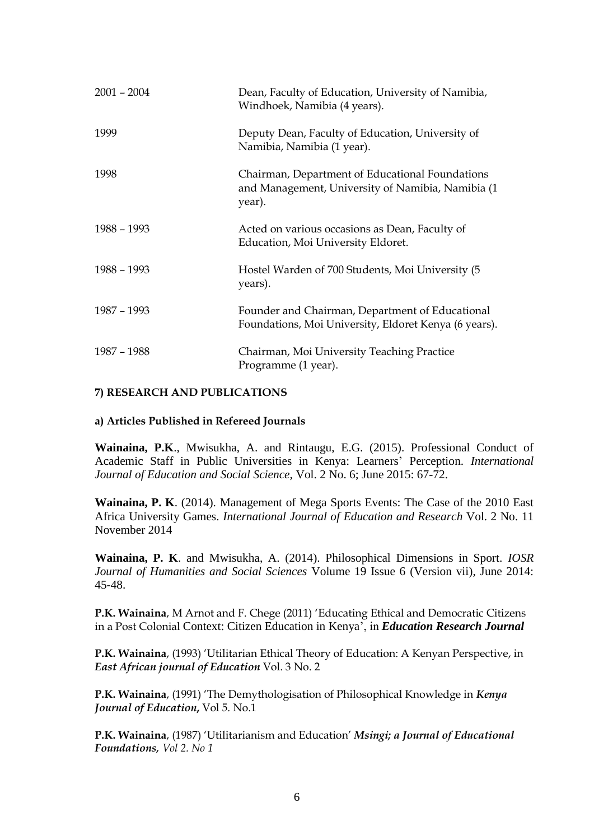| $2001 - 2004$ | Dean, Faculty of Education, University of Namibia,<br>Windhoek, Namibia (4 years).                             |
|---------------|----------------------------------------------------------------------------------------------------------------|
| 1999          | Deputy Dean, Faculty of Education, University of<br>Namibia, Namibia (1 year).                                 |
| 1998          | Chairman, Department of Educational Foundations<br>and Management, University of Namibia, Namibia (1<br>year). |
| 1988 - 1993   | Acted on various occasions as Dean, Faculty of<br>Education, Moi University Eldoret.                           |
| 1988 - 1993   | Hostel Warden of 700 Students, Moi University (5<br>years).                                                    |
| 1987 - 1993   | Founder and Chairman, Department of Educational<br>Foundations, Moi University, Eldoret Kenya (6 years).       |
| 1987 - 1988   | Chairman, Moi University Teaching Practice<br>Programme (1 year).                                              |

### **7) RESEARCH AND PUBLICATIONS**

#### **a) Articles Published in Refereed Journals**

**Wainaina, P.K**., Mwisukha, A. and Rintaugu, E.G. (2015). Professional Conduct of Academic Staff in Public Universities in Kenya: Learners' Perception. *International Journal of Education and Social Science*, Vol. 2 No. 6; June 2015: 67-72.

**Wainaina, P. K**. (2014). Management of Mega Sports Events: The Case of the 2010 East Africa University Games. *International Journal of Education and Research* Vol. 2 No. 11 November 2014

**Wainaina, P. K**. and Mwisukha, A. (2014). Philosophical Dimensions in Sport. *IOSR Journal of Humanities and Social Sciences* Volume 19 Issue 6 (Version vii), June 2014: 45-48.

**P.K. Wainaina**, M Arnot and F. Chege (2011) 'Educating Ethical and Democratic Citizens in a Post Colonial Context: Citizen Education in Kenya', in *Education Research Journal*

**P.K. Wainaina**, (1993) 'Utilitarian Ethical Theory of Education: A Kenyan Perspective, in *East African journal of Education* Vol. 3 No. 2

**P.K. Wainaina**, (1991) 'The Demythologisation of Philosophical Knowledge in *Kenya Journal of Education***,** Vol 5. No.1

**P.K. Wainaina**, (1987) 'Utilitarianism and Education' *Msingi; a Journal of Educational Foundations, Vol 2. No 1*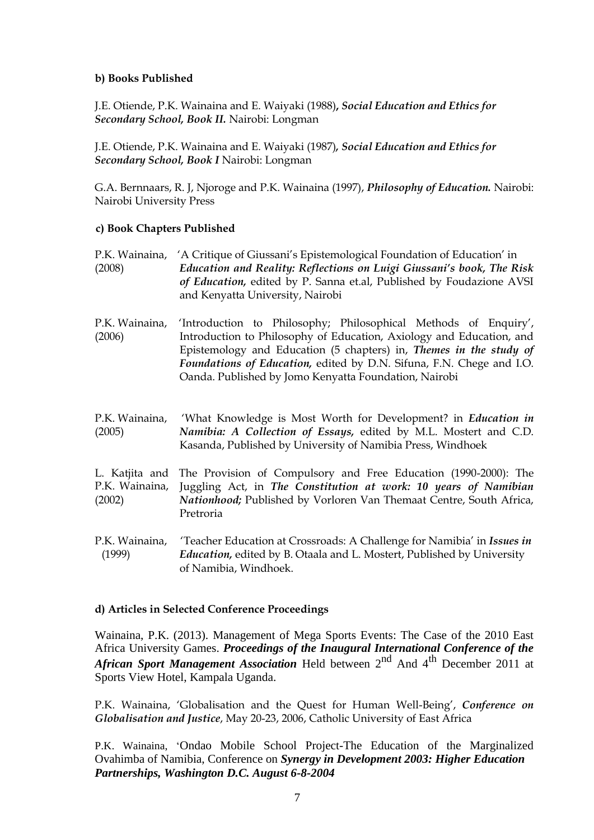### **b) Books Published**

J.E. Otiende, P.K. Wainaina and E. Waiyaki (1988)**,** *Social Education and Ethics for Secondary School, Book II.* Nairobi: Longman

J.E. Otiende, P.K. Wainaina and E. Waiyaki (1987)*, Social Education and Ethics for Secondary School, Book I* Nairobi: Longman

G.A. Bernnaars, R. J, Njoroge and P.K. Wainaina (1997), *Philosophy of Education.* Nairobi: Nairobi University Press

### **c) Book Chapters Published**

- P.K. Wainaina, 'A Critique of Giussani's Epistemological Foundation of Education' in (2008) *Education and Reality: Reflections on Luigi Giussani's book, The Risk of Education,* edited by P. Sanna et.al, Published by Foudazione AVSI and Kenyatta University, Nairobi
- P.K. Wainaina, (2006) 'Introduction to Philosophy; Philosophical Methods of Enquiry', Introduction to Philosophy of Education, Axiology and Education, and Epistemology and Education (5 chapters) in, *Themes in the study of Foundations of Education,* edited by D.N. Sifuna, F.N. Chege and I.O. Oanda. Published by Jomo Kenyatta Foundation, Nairobi
- P.K. Wainaina, (2005) 'What Knowledge is Most Worth for Development? in *Education in Namibia: A Collection of Essays,* edited by M.L. Mostert and C.D. Kasanda, Published by University of Namibia Press, Windhoek
- L. Katjita and The Provision of Compulsory and Free Education (1990-2000): The P.K. Wainaina, (2002) Juggling Act, in *The Constitution at work: 10 years of Namibian Nationhood;* Published by Vorloren Van Themaat Centre, South Africa, Pretroria
- P.K. Wainaina, 'Teacher Education at Crossroads: A Challenge for Namibia' in *Issues in* (1999) *Education,* edited by B. Otaala and L. Mostert, Published by University of Namibia, Windhoek.

#### **d) Articles in Selected Conference Proceedings**

Wainaina, P.K. (2013). Management of Mega Sports Events: The Case of the 2010 East Africa University Games. *Proceedings of the Inaugural International Conference of the African Sport Management Association* Held between 2nd And 4th December 2011 at Sports View Hotel, Kampala Uganda.

P.K. Wainaina, 'Globalisation and the Quest for Human Well-Being', *Conference on Globalisation and Justice*, May 20-23, 2006, Catholic University of East Africa

P.K. Wainaina, 'Ondao Mobile School Project-The Education of the Marginalized Ovahimba of Namibia, Conference on *Synergy in Development 2003: Higher Education Partnerships, Washington D.C. August 6-8-2004*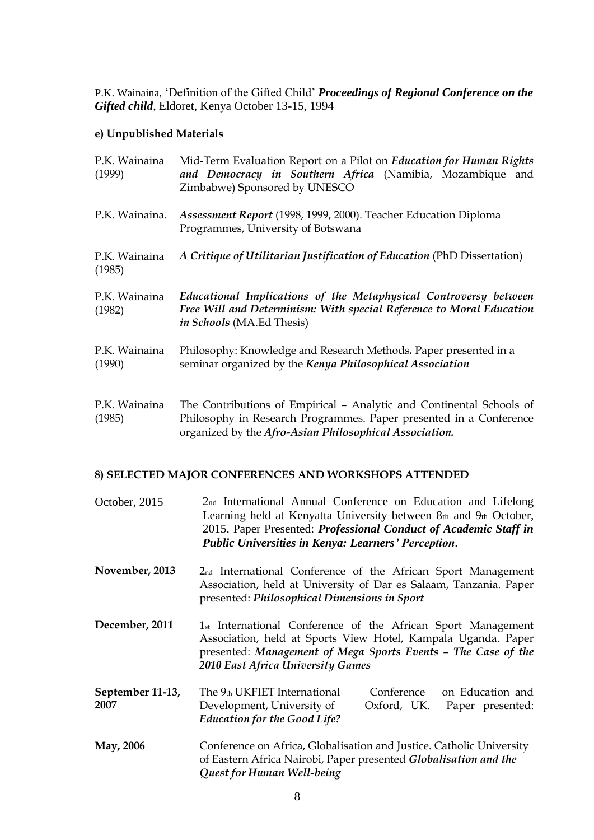P.K. Wainaina, 'Definition of the Gifted Child' *Proceedings of Regional Conference on the Gifted child*, Eldoret, Kenya October 13-15, 1994

#### **e) Unpublished Materials**

| P.K. Wainaina<br>(1999) | Mid-Term Evaluation Report on a Pilot on <i>Education for Human Rights</i><br>and Democracy in Southern Africa (Namibia, Mozambique and<br>Zimbabwe) Sponsored by UNESCO                             |
|-------------------------|------------------------------------------------------------------------------------------------------------------------------------------------------------------------------------------------------|
| P.K. Wainaina.          | Assessment Report (1998, 1999, 2000). Teacher Education Diploma<br>Programmes, University of Botswana                                                                                                |
| P.K. Wainaina<br>(1985) | A Critique of Utilitarian Justification of Education (PhD Dissertation)                                                                                                                              |
| P.K. Wainaina<br>(1982) | Educational Implications of the Metaphysical Controversy between<br>Free Will and Determinism: With special Reference to Moral Education<br><i>in Schools</i> (MA.Ed Thesis)                         |
| P.K. Wainaina<br>(1990) | Philosophy: Knowledge and Research Methods. Paper presented in a<br>seminar organized by the Kenya Philosophical Association                                                                         |
| P.K. Wainaina<br>(1985) | The Contributions of Empirical - Analytic and Continental Schools of<br>Philosophy in Research Programmes. Paper presented in a Conference<br>organized by the Afro-Asian Philosophical Association. |

#### **8) SELECTED MAJOR CONFERENCES AND WORKSHOPS ATTENDED**

- October, 2015 2nd International Annual Conference on Education and Lifelong Learning held at Kenyatta University between 8th and 9th October, 2015. Paper Presented: *Professional Conduct of Academic Staff in Public Universities in Kenya: Learners' Perception.*
- **November, 2013** 2nd International Conference of the African Sport Management Association, held at University of Dar es Salaam, Tanzania. Paper presented: *Philosophical Dimensions in Sport*
- **December, 2011** 1st International Conference of the African Sport Management Association, held at Sports View Hotel, Kampala Uganda. Paper presented: *Management of Mega Sports Events – The Case of the 2010 East Africa University Games*
- **September 11-13, 2007** The 9th UKFIET International Development, University of *Education for the Good Life?* Conference Oxford, UK. on Education and Paper presented:
- **May, 2006** Conference on Africa, Globalisation and Justice. Catholic University of Eastern Africa Nairobi, Paper presented *Globalisation and the Quest for Human Well-being*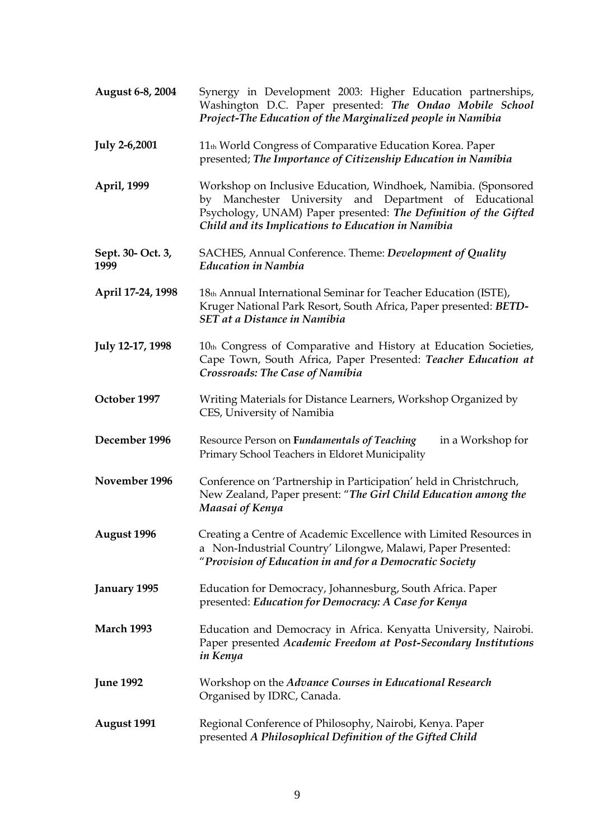| August 6-8, 2004          | Synergy in Development 2003: Higher Education partnerships,<br>Washington D.C. Paper presented: The Ondao Mobile School<br>Project-The Education of the Marginalized people in Namibia                                                            |
|---------------------------|---------------------------------------------------------------------------------------------------------------------------------------------------------------------------------------------------------------------------------------------------|
| <b>July 2-6,2001</b>      | 11 <sup>th</sup> World Congress of Comparative Education Korea. Paper<br>presented; The Importance of Citizenship Education in Namibia                                                                                                            |
| April, 1999               | Workshop on Inclusive Education, Windhoek, Namibia. (Sponsored<br>by Manchester University and Department of Educational<br>Psychology, UNAM) Paper presented: The Definition of the Gifted<br>Child and its Implications to Education in Namibia |
| Sept. 30- Oct. 3,<br>1999 | SACHES, Annual Conference. Theme: Development of Quality<br><b>Education in Nambia</b>                                                                                                                                                            |
| April 17-24, 1998         | 18th Annual International Seminar for Teacher Education (ISTE),<br>Kruger National Park Resort, South Africa, Paper presented: BETD-<br><b>SET at a Distance in Namibia</b>                                                                       |
| July 12-17, 1998          | 10th Congress of Comparative and History at Education Societies,<br>Cape Town, South Africa, Paper Presented: Teacher Education at<br><b>Crossroads: The Case of Namibia</b>                                                                      |
| October 1997              | Writing Materials for Distance Learners, Workshop Organized by<br>CES, University of Namibia                                                                                                                                                      |
| December 1996             | Resource Person on Fundamentals of Teaching<br>in a Workshop for<br>Primary School Teachers in Eldoret Municipality                                                                                                                               |
| November 1996             | Conference on 'Partnership in Participation' held in Christchruch,<br>New Zealand, Paper present: "The Girl Child Education among the<br>Maasai of Kenya                                                                                          |
| August 1996               | Creating a Centre of Academic Excellence with Limited Resources in<br>a Non-Industrial Country' Lilongwe, Malawi, Paper Presented:<br>"Provision of Education in and for a Democratic Society                                                     |
| January 1995              | Education for Democracy, Johannesburg, South Africa. Paper<br>presented: Education for Democracy: A Case for Kenya                                                                                                                                |
| <b>March 1993</b>         | Education and Democracy in Africa. Kenyatta University, Nairobi.<br>Paper presented Academic Freedom at Post-Secondary Institutions<br>in Kenya                                                                                                   |
| <b>June 1992</b>          | Workshop on the Advance Courses in Educational Research<br>Organised by IDRC, Canada.                                                                                                                                                             |
| <b>August 1991</b>        | Regional Conference of Philosophy, Nairobi, Kenya. Paper<br>presented A Philosophical Definition of the Gifted Child                                                                                                                              |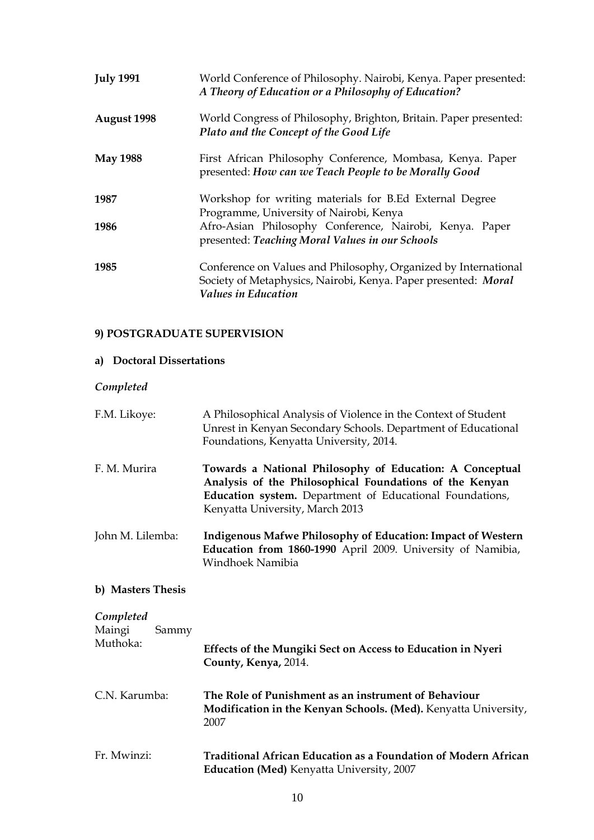| <b>July 1991</b> | World Conference of Philosophy. Nairobi, Kenya. Paper presented:<br>A Theory of Education or a Philosophy of Education?                                         |
|------------------|-----------------------------------------------------------------------------------------------------------------------------------------------------------------|
| August 1998      | World Congress of Philosophy, Brighton, Britain. Paper presented:<br>Plato and the Concept of the Good Life                                                     |
| <b>May 1988</b>  | First African Philosophy Conference, Mombasa, Kenya. Paper<br>presented: How can we Teach People to be Morally Good                                             |
| 1987             | Workshop for writing materials for B.Ed External Degree<br>Programme, University of Nairobi, Kenya                                                              |
| 1986             | Afro-Asian Philosophy Conference, Nairobi, Kenya. Paper<br>presented: Teaching Moral Values in our Schools                                                      |
| 1985             | Conference on Values and Philosophy, Organized by International<br>Society of Metaphysics, Nairobi, Kenya. Paper presented: Moral<br><b>Values in Education</b> |

# **9) POSTGRADUATE SUPERVISION**

# **a) Doctoral Dissertations**

# *Completed*

| F.M. Likoye:                             | A Philosophical Analysis of Violence in the Context of Student<br>Unrest in Kenyan Secondary Schools. Department of Educational<br>Foundations, Kenyatta University, 2014.                                         |
|------------------------------------------|--------------------------------------------------------------------------------------------------------------------------------------------------------------------------------------------------------------------|
| F. M. Murira                             | Towards a National Philosophy of Education: A Conceptual<br>Analysis of the Philosophical Foundations of the Kenyan<br>Education system. Department of Educational Foundations,<br>Kenyatta University, March 2013 |
| John M. Lilemba:                         | <b>Indigenous Mafwe Philosophy of Education: Impact of Western</b><br>Education from 1860-1990 April 2009. University of Namibia,<br>Windhoek Namibia                                                              |
| b) Masters Thesis                        |                                                                                                                                                                                                                    |
| Completed<br>Maingi<br>Sammy<br>Muthoka: | Effects of the Mungiki Sect on Access to Education in Nyeri<br>County, Kenya, 2014.                                                                                                                                |
| C.N. Karumba:                            | The Role of Punishment as an instrument of Behaviour<br>Modification in the Kenyan Schools. (Med). Kenyatta University,<br>2007                                                                                    |
| Fr. Mwinzi:                              | Traditional African Education as a Foundation of Modern African<br>Education (Med) Kenyatta University, 2007                                                                                                       |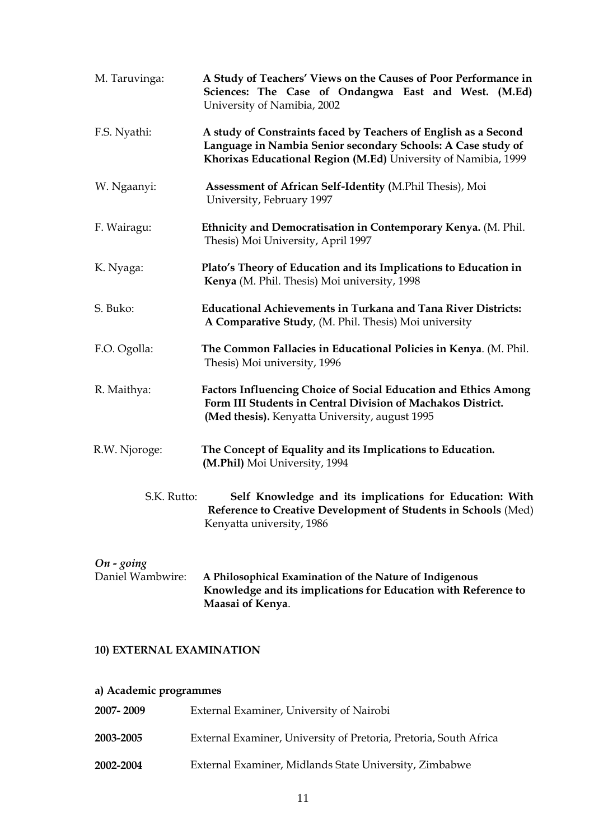| M. Taruvinga: | A Study of Teachers' Views on the Causes of Poor Performance in<br>Sciences: The Case of Ondangwa East and West. (M.Ed)<br>University of Namibia, 2002                                            |
|---------------|---------------------------------------------------------------------------------------------------------------------------------------------------------------------------------------------------|
| F.S. Nyathi:  | A study of Constraints faced by Teachers of English as a Second<br>Language in Nambia Senior secondary Schools: A Case study of<br>Khorixas Educational Region (M.Ed) University of Namibia, 1999 |
| W. Ngaanyi:   | Assessment of African Self-Identity (M.Phil Thesis), Moi<br>University, February 1997                                                                                                             |
| F. Wairagu:   | Ethnicity and Democratisation in Contemporary Kenya. (M. Phil.<br>Thesis) Moi University, April 1997                                                                                              |
| K. Nyaga:     | Plato's Theory of Education and its Implications to Education in<br>Kenya (M. Phil. Thesis) Moi university, 1998                                                                                  |
| S. Buko:      | <b>Educational Achievements in Turkana and Tana River Districts:</b><br>A Comparative Study, (M. Phil. Thesis) Moi university                                                                     |
| F.O. Ogolla:  | The Common Fallacies in Educational Policies in Kenya. (M. Phil.<br>Thesis) Moi university, 1996                                                                                                  |
| R. Maithya:   | <b>Factors Influencing Choice of Social Education and Ethics Among</b><br>Form III Students in Central Division of Machakos District.<br>(Med thesis). Kenyatta University, august 1995           |
| R.W. Njoroge: | The Concept of Equality and its Implications to Education.<br>(M.Phil) Moi University, 1994                                                                                                       |
| S.K. Rutto:   | Self Knowledge and its implications for Education: With<br>Reference to Creative Development of Students in Schools (Med)<br>Kenyatta university, 1986                                            |

# *On - going*

Daniel Wambwire: **A Philosophical Examination of the Nature of Indigenous Knowledge and its implications for Education with Reference to Maasai of Kenya**.

## **10) EXTERNAL EXAMINATION**

# **a) Academic programmes**

| 2007-2009 | External Examiner, University of Nairobi                          |
|-----------|-------------------------------------------------------------------|
| 2003-2005 | External Examiner, University of Pretoria, Pretoria, South Africa |
| 2002-2004 | External Examiner, Midlands State University, Zimbabwe            |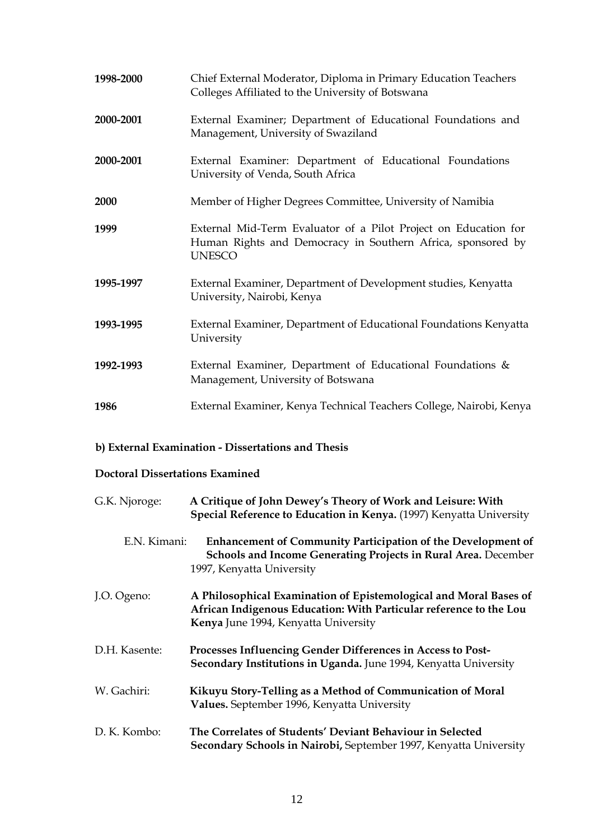| 1998-2000 | Chief External Moderator, Diploma in Primary Education Teachers<br>Colleges Affiliated to the University of Botswana                            |
|-----------|-------------------------------------------------------------------------------------------------------------------------------------------------|
| 2000-2001 | External Examiner; Department of Educational Foundations and<br>Management, University of Swaziland                                             |
| 2000-2001 | External Examiner: Department of Educational Foundations<br>University of Venda, South Africa                                                   |
| 2000      | Member of Higher Degrees Committee, University of Namibia                                                                                       |
| 1999      | External Mid-Term Evaluator of a Pilot Project on Education for<br>Human Rights and Democracy in Southern Africa, sponsored by<br><b>UNESCO</b> |
| 1995-1997 | External Examiner, Department of Development studies, Kenyatta<br>University, Nairobi, Kenya                                                    |
| 1993-1995 | External Examiner, Department of Educational Foundations Kenyatta<br>University                                                                 |
| 1992-1993 | External Examiner, Department of Educational Foundations $\&$<br>Management, University of Botswana                                             |
| 1986      | External Examiner, Kenya Technical Teachers College, Nairobi, Kenya                                                                             |

# **b) External Examination - Dissertations and Thesis**

# **Doctoral Dissertations Examined**

| G.K. Njoroge: | A Critique of John Dewey's Theory of Work and Leisure: With<br>Special Reference to Education in Kenya. (1997) Kenyatta University                                              |
|---------------|---------------------------------------------------------------------------------------------------------------------------------------------------------------------------------|
| E.N. Kimani:  | <b>Enhancement of Community Participation of the Development of</b><br>Schools and Income Generating Projects in Rural Area. December<br>1997, Kenyatta University              |
| J.O. Ogeno:   | A Philosophical Examination of Epistemological and Moral Bases of<br>African Indigenous Education: With Particular reference to the Lou<br>Kenya June 1994, Kenyatta University |
| D.H. Kasente: | Processes Influencing Gender Differences in Access to Post-<br>Secondary Institutions in Uganda. June 1994, Kenyatta University                                                 |
| W. Gachiri:   | Kikuyu Story-Telling as a Method of Communication of Moral<br>Values. September 1996, Kenyatta University                                                                       |
| D. K. Kombo:  | The Correlates of Students' Deviant Behaviour in Selected<br>Secondary Schools in Nairobi, September 1997, Kenyatta University                                                  |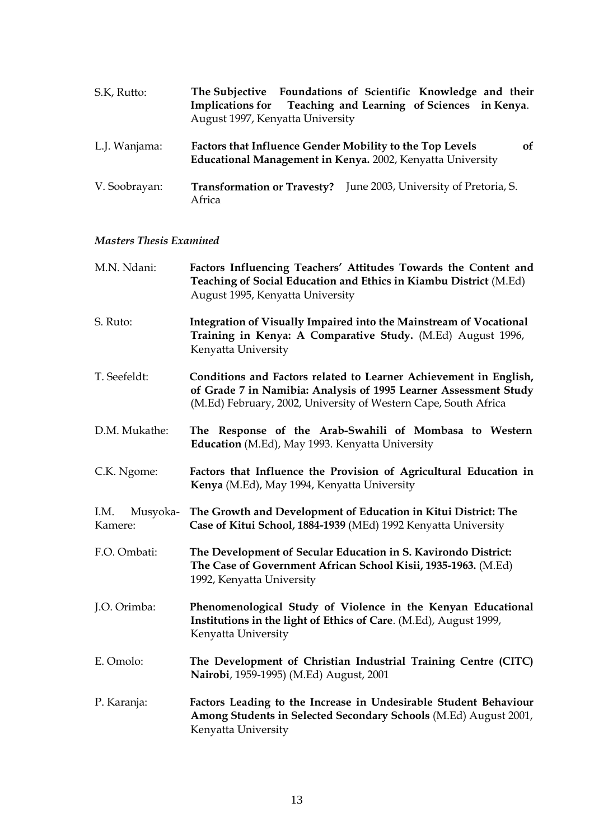| S.K, Rutto:   | The Subjective Foundations of Scientific Knowledge and their<br>Teaching and Learning of Sciences in Kenya.<br><b>Implications for</b><br>August 1997, Kenyatta University |
|---------------|----------------------------------------------------------------------------------------------------------------------------------------------------------------------------|
| L.J. Wanjama: | <b>of</b><br>Factors that Influence Gender Mobility to the Top Levels<br>Educational Management in Kenya. 2002, Kenyatta University                                        |
| V. Soobrayan: | <b>Transformation or Travesty?</b> June 2003, University of Pretoria, S.<br>Africa                                                                                         |

# *Masters Thesis Examined*

| M.N. Ndani:                 | Factors Influencing Teachers' Attitudes Towards the Content and<br>Teaching of Social Education and Ethics in Kiambu District (M.Ed)<br>August 1995, Kenyatta University                                 |
|-----------------------------|----------------------------------------------------------------------------------------------------------------------------------------------------------------------------------------------------------|
| S. Ruto:                    | Integration of Visually Impaired into the Mainstream of Vocational<br>Training in Kenya: A Comparative Study. (M.Ed) August 1996,<br>Kenyatta University                                                 |
| T. Seefeldt:                | Conditions and Factors related to Learner Achievement in English,<br>of Grade 7 in Namibia: Analysis of 1995 Learner Assessment Study<br>(M.Ed) February, 2002, University of Western Cape, South Africa |
| D.M. Mukathe:               | The Response of the Arab-Swahili of Mombasa to Western<br>Education (M.Ed), May 1993. Kenyatta University                                                                                                |
| C.K. Ngome:                 | Factors that Influence the Provision of Agricultural Education in<br>Kenya (M.Ed), May 1994, Kenyatta University                                                                                         |
| I.M.<br>Musyoka-<br>Kamere: | The Growth and Development of Education in Kitui District: The<br>Case of Kitui School, 1884-1939 (MEd) 1992 Kenyatta University                                                                         |
| F.O. Ombati:                | The Development of Secular Education in S. Kavirondo District:<br>The Case of Government African School Kisii, 1935-1963. (M.Ed)<br>1992, Kenyatta University                                            |
| J.O. Orimba:                | Phenomenological Study of Violence in the Kenyan Educational<br>Institutions in the light of Ethics of Care. (M.Ed), August 1999,<br>Kenyatta University                                                 |
| E. Omolo:                   | The Development of Christian Industrial Training Centre (CITC)<br>Nairobi, 1959-1995) (M.Ed) August, 2001                                                                                                |
| P. Karanja:                 | Factors Leading to the Increase in Undesirable Student Behaviour<br>Among Students in Selected Secondary Schools (M.Ed) August 2001,<br>Kenyatta University                                              |